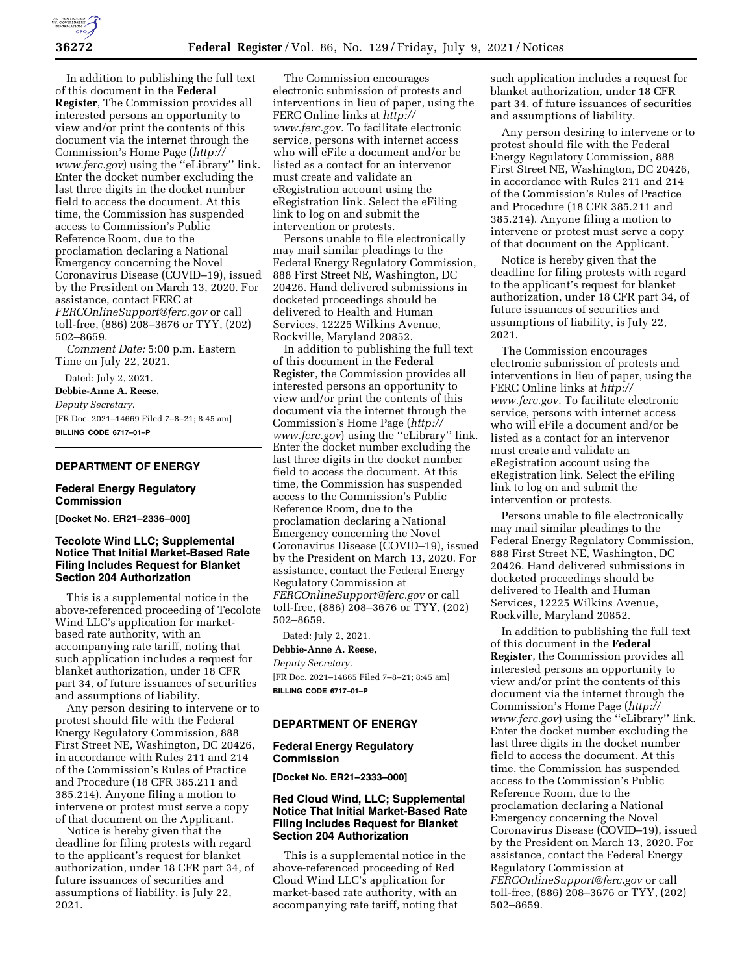

In addition to publishing the full text of this document in the **Federal Register**, The Commission provides all interested persons an opportunity to view and/or print the contents of this document via the internet through the Commission's Home Page (*[http://](http://www.ferc.gov) [www.ferc.gov](http://www.ferc.gov)*) using the ''eLibrary'' link. Enter the docket number excluding the last three digits in the docket number field to access the document. At this time, the Commission has suspended access to Commission's Public Reference Room, due to the proclamation declaring a National Emergency concerning the Novel Coronavirus Disease (COVID–19), issued by the President on March 13, 2020. For assistance, contact FERC at *[FERCOnlineSupport@ferc.gov](mailto:FERCOnlineSupport@ferc.gov)* or call toll-free, (886) 208–3676 or TYY, (202) 502–8659.

*Comment Date:* 5:00 p.m. Eastern Time on July 22, 2021.

Dated: July 2, 2021.

**Debbie-Anne A. Reese,** 

*Deputy Secretary.* 

[FR Doc. 2021–14669 Filed 7–8–21; 8:45 am] **BILLING CODE 6717–01–P** 

## **DEPARTMENT OF ENERGY**

### **Federal Energy Regulatory Commission**

**[Docket No. ER21–2336–000]** 

## **Tecolote Wind LLC; Supplemental Notice That Initial Market-Based Rate Filing Includes Request for Blanket Section 204 Authorization**

This is a supplemental notice in the above-referenced proceeding of Tecolote Wind LLC's application for marketbased rate authority, with an accompanying rate tariff, noting that such application includes a request for blanket authorization, under 18 CFR part 34, of future issuances of securities and assumptions of liability.

Any person desiring to intervene or to protest should file with the Federal Energy Regulatory Commission, 888 First Street NE, Washington, DC 20426, in accordance with Rules 211 and 214 of the Commission's Rules of Practice and Procedure (18 CFR 385.211 and 385.214). Anyone filing a motion to intervene or protest must serve a copy of that document on the Applicant.

Notice is hereby given that the deadline for filing protests with regard to the applicant's request for blanket authorization, under 18 CFR part 34, of future issuances of securities and assumptions of liability, is July 22, 2021.

The Commission encourages electronic submission of protests and interventions in lieu of paper, using the FERC Online links at *[http://](http://www.ferc.gov) [www.ferc.gov.](http://www.ferc.gov)* To facilitate electronic service, persons with internet access who will eFile a document and/or be listed as a contact for an intervenor must create and validate an eRegistration account using the eRegistration link. Select the eFiling link to log on and submit the intervention or protests.

Persons unable to file electronically may mail similar pleadings to the Federal Energy Regulatory Commission, 888 First Street NE, Washington, DC 20426. Hand delivered submissions in docketed proceedings should be delivered to Health and Human Services, 12225 Wilkins Avenue, Rockville, Maryland 20852.

In addition to publishing the full text of this document in the **Federal Register**, the Commission provides all interested persons an opportunity to view and/or print the contents of this document via the internet through the Commission's Home Page (*[http://](http://www.ferc.gov) [www.ferc.gov](http://www.ferc.gov)*) using the ''eLibrary'' link. Enter the docket number excluding the last three digits in the docket number field to access the document. At this time, the Commission has suspended access to the Commission's Public Reference Room, due to the proclamation declaring a National Emergency concerning the Novel Coronavirus Disease (COVID–19), issued by the President on March 13, 2020. For assistance, contact the Federal Energy Regulatory Commission at *[FERCOnlineSupport@ferc.gov](mailto:FERCOnlineSupport@ferc.gov)* or call toll-free, (886) 208–3676 or TYY, (202) 502–8659.

Dated: July 2, 2021.

**Debbie-Anne A. Reese,** 

*Deputy Secretary.* 

[FR Doc. 2021–14665 Filed 7–8–21; 8:45 am] **BILLING CODE 6717–01–P** 

### **DEPARTMENT OF ENERGY**

### **Federal Energy Regulatory Commission**

**[Docket No. ER21–2333–000]** 

# **Red Cloud Wind, LLC; Supplemental Notice That Initial Market-Based Rate Filing Includes Request for Blanket Section 204 Authorization**

This is a supplemental notice in the above-referenced proceeding of Red Cloud Wind LLC's application for market-based rate authority, with an accompanying rate tariff, noting that

such application includes a request for blanket authorization, under 18 CFR part 34, of future issuances of securities and assumptions of liability.

Any person desiring to intervene or to protest should file with the Federal Energy Regulatory Commission, 888 First Street NE, Washington, DC 20426, in accordance with Rules 211 and 214 of the Commission's Rules of Practice and Procedure (18 CFR 385.211 and 385.214). Anyone filing a motion to intervene or protest must serve a copy of that document on the Applicant.

Notice is hereby given that the deadline for filing protests with regard to the applicant's request for blanket authorization, under 18 CFR part 34, of future issuances of securities and assumptions of liability, is July 22, 2021.

The Commission encourages electronic submission of protests and interventions in lieu of paper, using the FERC Online links at *[http://](http://www.ferc.gov) [www.ferc.gov.](http://www.ferc.gov)* To facilitate electronic service, persons with internet access who will eFile a document and/or be listed as a contact for an intervenor must create and validate an eRegistration account using the eRegistration link. Select the eFiling link to log on and submit the intervention or protests.

Persons unable to file electronically may mail similar pleadings to the Federal Energy Regulatory Commission, 888 First Street NE, Washington, DC 20426. Hand delivered submissions in docketed proceedings should be delivered to Health and Human Services, 12225 Wilkins Avenue, Rockville, Maryland 20852.

In addition to publishing the full text of this document in the **Federal Register**, the Commission provides all interested persons an opportunity to view and/or print the contents of this document via the internet through the Commission's Home Page (*[http://](http://www.ferc.gov) [www.ferc.gov](http://www.ferc.gov)*) using the ''eLibrary'' link. Enter the docket number excluding the last three digits in the docket number field to access the document. At this time, the Commission has suspended access to the Commission's Public Reference Room, due to the proclamation declaring a National Emergency concerning the Novel Coronavirus Disease (COVID–19), issued by the President on March 13, 2020. For assistance, contact the Federal Energy Regulatory Commission at *[FERCOnlineSupport@ferc.gov](mailto:FERCOnlineSupport@ferc.gov)* or call toll-free, (886) 208–3676 or TYY, (202) 502–8659.